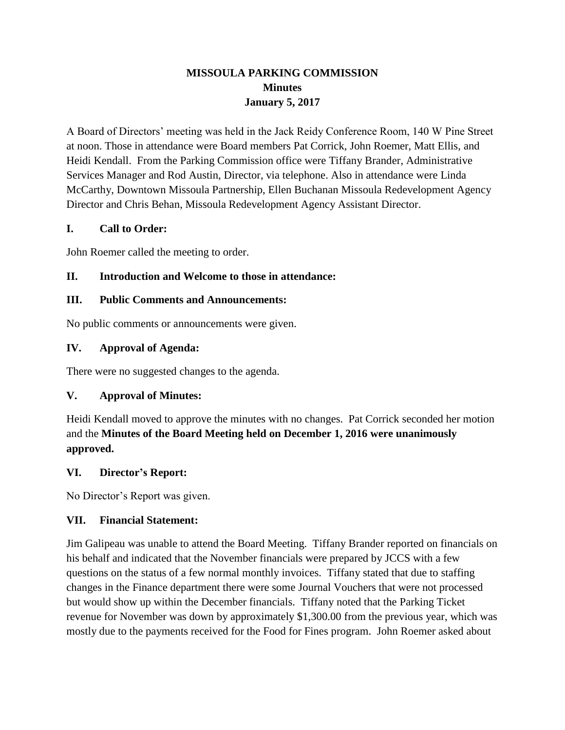# **MISSOULA PARKING COMMISSION Minutes January 5, 2017**

A Board of Directors' meeting was held in the Jack Reidy Conference Room, 140 W Pine Street at noon. Those in attendance were Board members Pat Corrick, John Roemer, Matt Ellis, and Heidi Kendall. From the Parking Commission office were Tiffany Brander, Administrative Services Manager and Rod Austin, Director, via telephone. Also in attendance were Linda McCarthy, Downtown Missoula Partnership, Ellen Buchanan Missoula Redevelopment Agency Director and Chris Behan, Missoula Redevelopment Agency Assistant Director.

## **I. Call to Order:**

John Roemer called the meeting to order.

#### **II. Introduction and Welcome to those in attendance:**

#### **III. Public Comments and Announcements:**

No public comments or announcements were given.

## **IV. Approval of Agenda:**

There were no suggested changes to the agenda.

## **V. Approval of Minutes:**

Heidi Kendall moved to approve the minutes with no changes. Pat Corrick seconded her motion and the **Minutes of the Board Meeting held on December 1, 2016 were unanimously approved.**

#### **VI. Director's Report:**

No Director's Report was given.

#### **VII. Financial Statement:**

Jim Galipeau was unable to attend the Board Meeting. Tiffany Brander reported on financials on his behalf and indicated that the November financials were prepared by JCCS with a few questions on the status of a few normal monthly invoices. Tiffany stated that due to staffing changes in the Finance department there were some Journal Vouchers that were not processed but would show up within the December financials. Tiffany noted that the Parking Ticket revenue for November was down by approximately \$1,300.00 from the previous year, which was mostly due to the payments received for the Food for Fines program. John Roemer asked about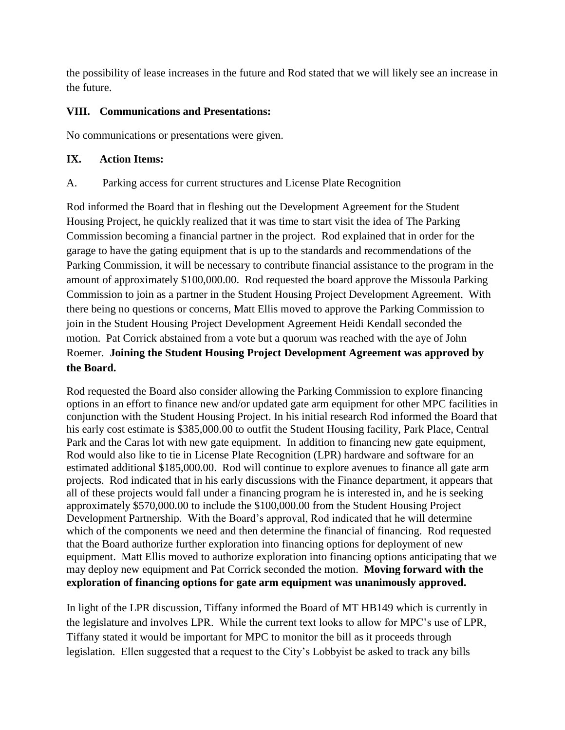the possibility of lease increases in the future and Rod stated that we will likely see an increase in the future.

## **VIII. Communications and Presentations:**

No communications or presentations were given.

#### **IX. Action Items:**

#### A. Parking access for current structures and License Plate Recognition

Rod informed the Board that in fleshing out the Development Agreement for the Student Housing Project, he quickly realized that it was time to start visit the idea of The Parking Commission becoming a financial partner in the project. Rod explained that in order for the garage to have the gating equipment that is up to the standards and recommendations of the Parking Commission, it will be necessary to contribute financial assistance to the program in the amount of approximately \$100,000.00. Rod requested the board approve the Missoula Parking Commission to join as a partner in the Student Housing Project Development Agreement. With there being no questions or concerns, Matt Ellis moved to approve the Parking Commission to join in the Student Housing Project Development Agreement Heidi Kendall seconded the motion. Pat Corrick abstained from a vote but a quorum was reached with the aye of John Roemer. **Joining the Student Housing Project Development Agreement was approved by the Board.**

Rod requested the Board also consider allowing the Parking Commission to explore financing options in an effort to finance new and/or updated gate arm equipment for other MPC facilities in conjunction with the Student Housing Project. In his initial research Rod informed the Board that his early cost estimate is \$385,000.00 to outfit the Student Housing facility, Park Place, Central Park and the Caras lot with new gate equipment. In addition to financing new gate equipment, Rod would also like to tie in License Plate Recognition (LPR) hardware and software for an estimated additional \$185,000.00. Rod will continue to explore avenues to finance all gate arm projects. Rod indicated that in his early discussions with the Finance department, it appears that all of these projects would fall under a financing program he is interested in, and he is seeking approximately \$570,000.00 to include the \$100,000.00 from the Student Housing Project Development Partnership. With the Board's approval, Rod indicated that he will determine which of the components we need and then determine the financial of financing. Rod requested that the Board authorize further exploration into financing options for deployment of new equipment. Matt Ellis moved to authorize exploration into financing options anticipating that we may deploy new equipment and Pat Corrick seconded the motion. **Moving forward with the exploration of financing options for gate arm equipment was unanimously approved.**

In light of the LPR discussion, Tiffany informed the Board of MT HB149 which is currently in the legislature and involves LPR. While the current text looks to allow for MPC's use of LPR, Tiffany stated it would be important for MPC to monitor the bill as it proceeds through legislation. Ellen suggested that a request to the City's Lobbyist be asked to track any bills